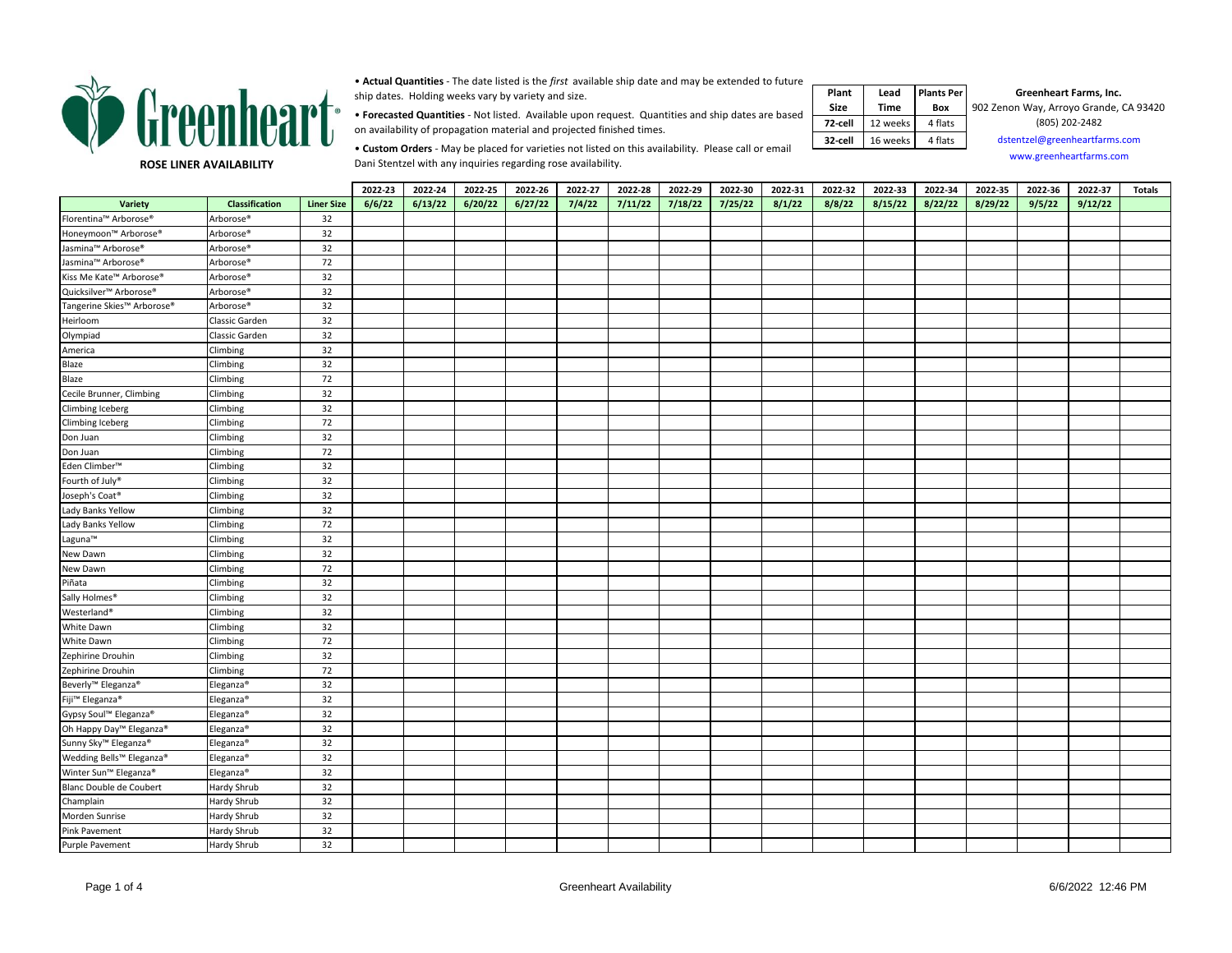

• **Actual Quantities** - The date listed is the *first* available ship date and may be extended to future ship dates. Holding weeks vary by variety and size.

• **Forecasted Quantities** - Not listed. Available upon request. Quantities and ship dates are based on availability of propagation material and projected finished times.

 **Plant Size Lead Time Plants Per Box 72-cell** 12 weeks 4 flats **32-cell** 16 weeks 4 flats **Greenheart Farms, Inc.**  902 Zenon Way, Arroyo Grande, CA 93420 (805) 202-2482 [dsten](mailto:dstentzel@greenheartfarms.com)tzel@greenheartfarms.com [ww](http://www.greenheartfarms.com/)w.greenheartfarms.com

**ROSE LINER AVAILABILITY**

• **Custom Orders** - May be placed for varieties not listed on this availability. Please call or email Dani Stentzel with any inquiries regarding rose availability.

|                                  |                       |                   | 2022-23 | 2022-24 | 2022-25 | 2022-26 | 2022-27 | 2022-28 | 2022-29 | 2022-30 | 2022-31 | 2022-32 | 2022-33 | 2022-34 | 2022-35 | 2022-36 | 2022-37 | <b>Totals</b> |
|----------------------------------|-----------------------|-------------------|---------|---------|---------|---------|---------|---------|---------|---------|---------|---------|---------|---------|---------|---------|---------|---------------|
| Variety                          | Classification        | <b>Liner Size</b> | 6/6/22  | 6/13/22 | 6/20/22 | 6/27/22 | 7/4/22  | 7/11/22 | 7/18/22 | 7/25/22 | 8/1/22  | 8/8/22  | 8/15/22 | 8/22/22 | 8/29/22 | 9/5/22  | 9/12/22 |               |
| Florentina™ Arborose®            | Arborose <sup>®</sup> | 32                |         |         |         |         |         |         |         |         |         |         |         |         |         |         |         |               |
| Honeymoon™ Arborose®             | Arborose <sup>®</sup> | 32                |         |         |         |         |         |         |         |         |         |         |         |         |         |         |         |               |
| Jasmina™ Arborose®               | Arborose <sup>®</sup> | 32                |         |         |         |         |         |         |         |         |         |         |         |         |         |         |         |               |
| Jasmina™ Arborose®               | Arborose <sup>®</sup> | 72                |         |         |         |         |         |         |         |         |         |         |         |         |         |         |         |               |
| Kiss Me Kate™ Arborose®          | Arborose <sup>®</sup> | 32                |         |         |         |         |         |         |         |         |         |         |         |         |         |         |         |               |
| Quicksilver™ Arborose®           | Arborose <sup>®</sup> | 32                |         |         |         |         |         |         |         |         |         |         |         |         |         |         |         |               |
| Tangerine Skies™ Arborose®       | Arborose <sup>®</sup> | 32                |         |         |         |         |         |         |         |         |         |         |         |         |         |         |         |               |
| Heirloom                         | Classic Garden        | 32                |         |         |         |         |         |         |         |         |         |         |         |         |         |         |         |               |
| Olympiad                         | Classic Garden        | 32                |         |         |         |         |         |         |         |         |         |         |         |         |         |         |         |               |
| America                          | Climbing              | 32                |         |         |         |         |         |         |         |         |         |         |         |         |         |         |         |               |
| Blaze                            | Climbing              | 32                |         |         |         |         |         |         |         |         |         |         |         |         |         |         |         |               |
| Blaze                            | Climbing              | 72                |         |         |         |         |         |         |         |         |         |         |         |         |         |         |         |               |
| Cecile Brunner, Climbing         | Climbing              | 32                |         |         |         |         |         |         |         |         |         |         |         |         |         |         |         |               |
| Climbing Iceberg                 | Climbing              | 32                |         |         |         |         |         |         |         |         |         |         |         |         |         |         |         |               |
| Climbing Iceberg                 | Climbing              | 72                |         |         |         |         |         |         |         |         |         |         |         |         |         |         |         |               |
| Don Juan                         | Climbing              | 32                |         |         |         |         |         |         |         |         |         |         |         |         |         |         |         |               |
| Don Juan                         | Climbing              | 72                |         |         |         |         |         |         |         |         |         |         |         |         |         |         |         |               |
| Eden Climber <sup>™</sup>        | Climbing              | 32                |         |         |         |         |         |         |         |         |         |         |         |         |         |         |         |               |
| Fourth of July®                  | Climbing              | 32                |         |         |         |         |         |         |         |         |         |         |         |         |         |         |         |               |
| Joseph's Coat®                   | Climbing              | 32                |         |         |         |         |         |         |         |         |         |         |         |         |         |         |         |               |
| Lady Banks Yellow                | Climbing              | 32                |         |         |         |         |         |         |         |         |         |         |         |         |         |         |         |               |
| Lady Banks Yellow                | Climbing              | 72                |         |         |         |         |         |         |         |         |         |         |         |         |         |         |         |               |
| Laguna <sup>™</sup>              | Climbing              | 32                |         |         |         |         |         |         |         |         |         |         |         |         |         |         |         |               |
| New Dawn                         | Climbing              | 32                |         |         |         |         |         |         |         |         |         |         |         |         |         |         |         |               |
| New Dawn                         | Climbing              | 72                |         |         |         |         |         |         |         |         |         |         |         |         |         |         |         |               |
| Piñata                           | Climbing              | 32                |         |         |         |         |         |         |         |         |         |         |         |         |         |         |         |               |
| Sally Holmes <sup>®</sup>        | Climbing              | 32                |         |         |         |         |         |         |         |         |         |         |         |         |         |         |         |               |
| Westerland <sup>®</sup>          | Climbing              | 32                |         |         |         |         |         |         |         |         |         |         |         |         |         |         |         |               |
| White Dawn                       | Climbing              | 32                |         |         |         |         |         |         |         |         |         |         |         |         |         |         |         |               |
| White Dawn                       | Climbing              | 72                |         |         |         |         |         |         |         |         |         |         |         |         |         |         |         |               |
| Zephirine Drouhin                | Climbing              | 32                |         |         |         |         |         |         |         |         |         |         |         |         |         |         |         |               |
| Zephirine Drouhin                | Climbing              | 72                |         |         |         |         |         |         |         |         |         |         |         |         |         |         |         |               |
| Beverly <sup>™</sup> Eleganza®   | Eleganza <sup>®</sup> | 32                |         |         |         |         |         |         |         |         |         |         |         |         |         |         |         |               |
| Fiji™ Eleganza <sup>®</sup>      | Eleganza <sup>®</sup> | 32                |         |         |         |         |         |         |         |         |         |         |         |         |         |         |         |               |
| Gypsy Soul™ Eleganza®            | Eleganza <sup>®</sup> | 32                |         |         |         |         |         |         |         |         |         |         |         |         |         |         |         |               |
| Oh Happy Day™ Eleganza®          | Eleganza <sup>®</sup> | 32                |         |         |         |         |         |         |         |         |         |         |         |         |         |         |         |               |
| Sunny Sky <sup>™</sup> Eleganza® | Eleganza <sup>®</sup> | 32                |         |         |         |         |         |         |         |         |         |         |         |         |         |         |         |               |
| Wedding Bells™ Eleganza®         | Eleganza <sup>®</sup> | 32                |         |         |         |         |         |         |         |         |         |         |         |         |         |         |         |               |
| Winter Sun™ Eleganza®            | Eleganza <sup>®</sup> | 32                |         |         |         |         |         |         |         |         |         |         |         |         |         |         |         |               |
| Blanc Double de Coubert          | Hardy Shrub           | 32                |         |         |         |         |         |         |         |         |         |         |         |         |         |         |         |               |
| Champlain                        | Hardy Shrub           | 32                |         |         |         |         |         |         |         |         |         |         |         |         |         |         |         |               |
| Morden Sunrise                   | Hardy Shrub           | 32                |         |         |         |         |         |         |         |         |         |         |         |         |         |         |         |               |
| Pink Pavement                    | Hardy Shrub           | 32                |         |         |         |         |         |         |         |         |         |         |         |         |         |         |         |               |
| <b>Purple Pavement</b>           | Hardy Shrub           | 32                |         |         |         |         |         |         |         |         |         |         |         |         |         |         |         |               |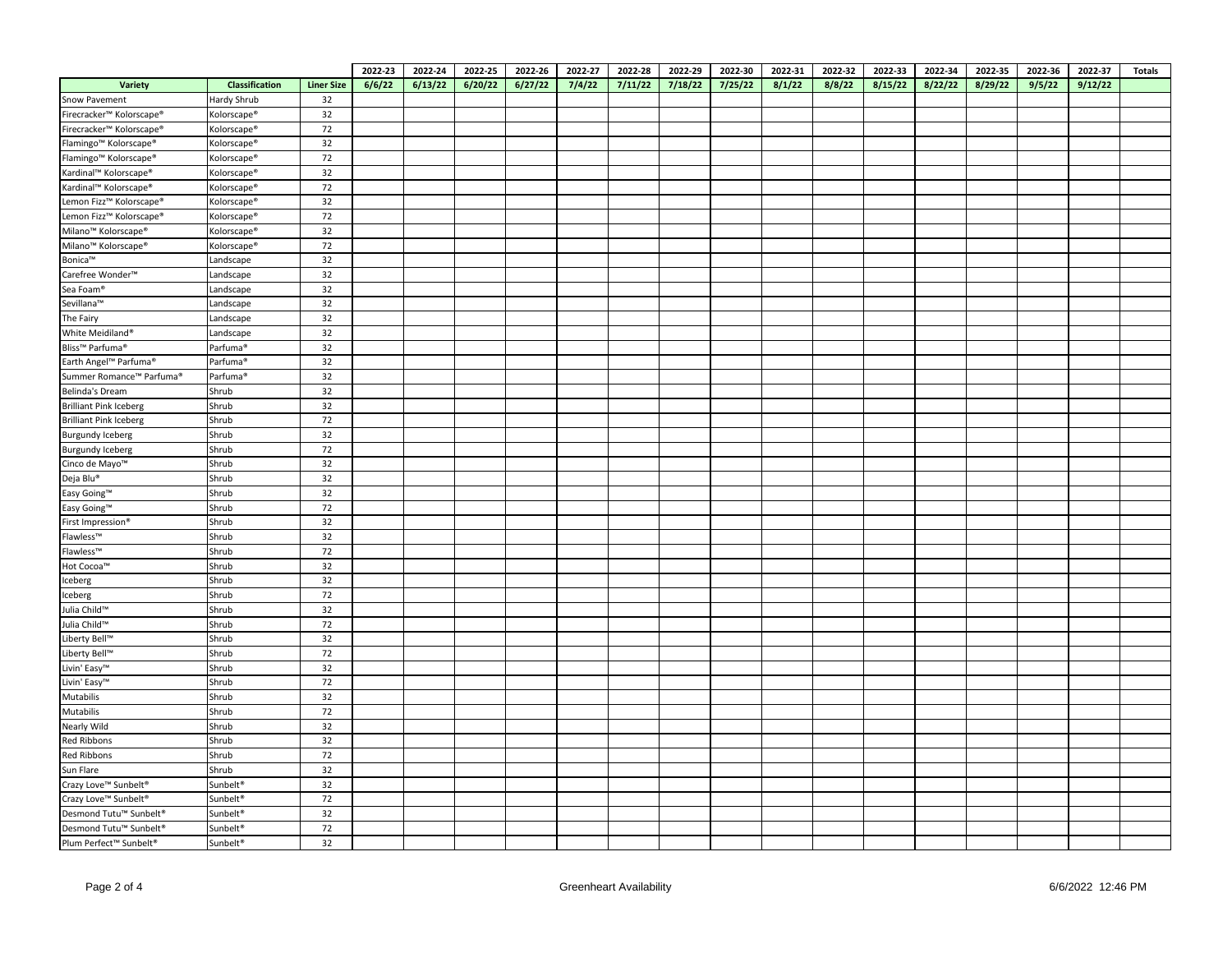|                                             |                         |                   | 2022-23 | 2022-24 | 2022-25 | 2022-26 | 2022-27 | 2022-28 | 2022-29 | 2022-30 | 2022-31 | 2022-32 | 2022-33 | 2022-34 | 2022-35 | 2022-36 | 2022-37 | <b>Totals</b> |
|---------------------------------------------|-------------------------|-------------------|---------|---------|---------|---------|---------|---------|---------|---------|---------|---------|---------|---------|---------|---------|---------|---------------|
| Variety                                     | Classification          | <b>Liner Size</b> | 6/6/22  | 6/13/22 | 6/20/22 | 6/27/22 | 7/4/22  | 7/11/22 | 7/18/22 | 7/25/22 | 8/1/22  | 8/8/22  | 8/15/22 | 8/22/22 | 8/29/22 | 9/5/22  | 9/12/22 |               |
| Snow Pavement                               | Hardy Shrub             | 32                |         |         |         |         |         |         |         |         |         |         |         |         |         |         |         |               |
| Firecracker™ Kolorscape®                    | Kolorscape®             | 32                |         |         |         |         |         |         |         |         |         |         |         |         |         |         |         |               |
| Firecracker™ Kolorscape <sup>®</sup>        | Kolorscape <sup>®</sup> | 72                |         |         |         |         |         |         |         |         |         |         |         |         |         |         |         |               |
| Flamingo <sup>™</sup> Kolorscape®           | Kolorscape®             | 32                |         |         |         |         |         |         |         |         |         |         |         |         |         |         |         |               |
| Flamingo <sup>™</sup> Kolorscape®           | Kolorscape <sup>®</sup> | 72                |         |         |         |         |         |         |         |         |         |         |         |         |         |         |         |               |
| Kardinal™ Kolorscape®                       | Kolorscape <sup>®</sup> | 32                |         |         |         |         |         |         |         |         |         |         |         |         |         |         |         |               |
| Kardinal™ Kolorscape®                       | Kolorscape®             | 72                |         |         |         |         |         |         |         |         |         |         |         |         |         |         |         |               |
| Lemon Fizz™ Kolorscape <sup>®</sup>         | Kolorscape®             | 32                |         |         |         |         |         |         |         |         |         |         |         |         |         |         |         |               |
| Lemon Fizz™ Kolorscape®                     | Kolorscape <sup>®</sup> | 72                |         |         |         |         |         |         |         |         |         |         |         |         |         |         |         |               |
| Milano <sup>™</sup> Kolorscape <sup>®</sup> | Kolorscape <sup>®</sup> | 32                |         |         |         |         |         |         |         |         |         |         |         |         |         |         |         |               |
| Milano <sup>™</sup> Kolorscape <sup>®</sup> | Kolorscape®             | 72                |         |         |         |         |         |         |         |         |         |         |         |         |         |         |         |               |
| Bonica™                                     | Landscape               | 32                |         |         |         |         |         |         |         |         |         |         |         |         |         |         |         |               |
| Carefree Wonder <sup>™</sup>                | Landscape               | 32                |         |         |         |         |         |         |         |         |         |         |         |         |         |         |         |               |
| Sea Foam®                                   | Landscape               | 32                |         |         |         |         |         |         |         |         |         |         |         |         |         |         |         |               |
| Sevillana™                                  | Landscape               | 32                |         |         |         |         |         |         |         |         |         |         |         |         |         |         |         |               |
| The Fairy                                   | Landscape               | 32                |         |         |         |         |         |         |         |         |         |         |         |         |         |         |         |               |
| White Meidiland®                            | Landscape               | 32                |         |         |         |         |         |         |         |         |         |         |         |         |         |         |         |               |
| Bliss™ Parfuma®                             | Parfuma <sup>®</sup>    | 32                |         |         |         |         |         |         |         |         |         |         |         |         |         |         |         |               |
| Earth Angel™ Parfuma®                       | Parfuma <sup>®</sup>    | 32                |         |         |         |         |         |         |         |         |         |         |         |         |         |         |         |               |
| Summer Romance™ Parfuma®                    | Parfuma <sup>®</sup>    | 32                |         |         |         |         |         |         |         |         |         |         |         |         |         |         |         |               |
| <b>Belinda's Dream</b>                      | Shrub                   | 32                |         |         |         |         |         |         |         |         |         |         |         |         |         |         |         |               |
| <b>Brilliant Pink Iceberg</b>               | Shrub                   | 32                |         |         |         |         |         |         |         |         |         |         |         |         |         |         |         |               |
| <b>Brilliant Pink Iceberg</b>               | Shrub                   | 72                |         |         |         |         |         |         |         |         |         |         |         |         |         |         |         |               |
| <b>Burgundy Iceberg</b>                     | Shrub                   | 32                |         |         |         |         |         |         |         |         |         |         |         |         |         |         |         |               |
| <b>Burgundy Iceberg</b>                     | Shrub                   | 72                |         |         |         |         |         |         |         |         |         |         |         |         |         |         |         |               |
| Cinco de Mayo™                              | Shrub                   | 32                |         |         |         |         |         |         |         |         |         |         |         |         |         |         |         |               |
| Deja Blu®                                   | Shrub                   | 32                |         |         |         |         |         |         |         |         |         |         |         |         |         |         |         |               |
| Easy Going™                                 | Shrub                   | 32                |         |         |         |         |         |         |         |         |         |         |         |         |         |         |         |               |
| Easy Going™                                 | Shrub                   | 72                |         |         |         |         |         |         |         |         |         |         |         |         |         |         |         |               |
| First Impression®                           | Shrub                   | 32                |         |         |         |         |         |         |         |         |         |         |         |         |         |         |         |               |
| Flawless™                                   | Shrub                   | 32                |         |         |         |         |         |         |         |         |         |         |         |         |         |         |         |               |
| Flawless <sup>™</sup>                       | Shrub                   | 72                |         |         |         |         |         |         |         |         |         |         |         |         |         |         |         |               |
| Hot Cocoa™                                  | Shrub                   | 32                |         |         |         |         |         |         |         |         |         |         |         |         |         |         |         |               |
| Iceberg                                     | Shrub                   | 32                |         |         |         |         |         |         |         |         |         |         |         |         |         |         |         |               |
| Iceberg                                     | Shrub                   | 72                |         |         |         |         |         |         |         |         |         |         |         |         |         |         |         |               |
| Julia Child™                                | Shrub                   | 32                |         |         |         |         |         |         |         |         |         |         |         |         |         |         |         |               |
| Julia Child™                                | Shrub                   | 72                |         |         |         |         |         |         |         |         |         |         |         |         |         |         |         |               |
| Liberty Bell™                               | Shrub                   | 32                |         |         |         |         |         |         |         |         |         |         |         |         |         |         |         |               |
| Liberty Bell <sup>™</sup>                   | Shrub                   | 72                |         |         |         |         |         |         |         |         |         |         |         |         |         |         |         |               |
| Livin' Easy™                                | Shrub                   | 32                |         |         |         |         |         |         |         |         |         |         |         |         |         |         |         |               |
| Livin' Easy™                                | Shrub                   | 72                |         |         |         |         |         |         |         |         |         |         |         |         |         |         |         |               |
| Mutabilis                                   | Shrub                   | 32                |         |         |         |         |         |         |         |         |         |         |         |         |         |         |         |               |
| Mutabilis                                   | Shrub                   | 72                |         |         |         |         |         |         |         |         |         |         |         |         |         |         |         |               |
| Nearly Wild                                 | Shrub                   | 32                |         |         |         |         |         |         |         |         |         |         |         |         |         |         |         |               |
| <b>Red Ribbons</b>                          | Shrub                   | 32                |         |         |         |         |         |         |         |         |         |         |         |         |         |         |         |               |
| Red Ribbons                                 | Shrub                   | 72                |         |         |         |         |         |         |         |         |         |         |         |         |         |         |         |               |
| Sun Flare                                   | Shrub                   | 32                |         |         |         |         |         |         |         |         |         |         |         |         |         |         |         |               |
| Crazy Love™ Sunbelt®                        | Sunbelt <sup>®</sup>    | 32                |         |         |         |         |         |         |         |         |         |         |         |         |         |         |         |               |
| Crazy Love™ Sunbelt®                        | Sunbelt <sup>®</sup>    | 72                |         |         |         |         |         |         |         |         |         |         |         |         |         |         |         |               |
| Desmond Tutu™ Sunbelt <sup>®</sup>          | Sunbelt <sup>®</sup>    | 32                |         |         |         |         |         |         |         |         |         |         |         |         |         |         |         |               |
| Desmond Tutu™ Sunbelt <sup>®</sup>          | Sunbelt <sup>®</sup>    | 72                |         |         |         |         |         |         |         |         |         |         |         |         |         |         |         |               |
| Plum Perfect™ Sunbelt®                      | Sunbelt <sup>®</sup>    | 32                |         |         |         |         |         |         |         |         |         |         |         |         |         |         |         |               |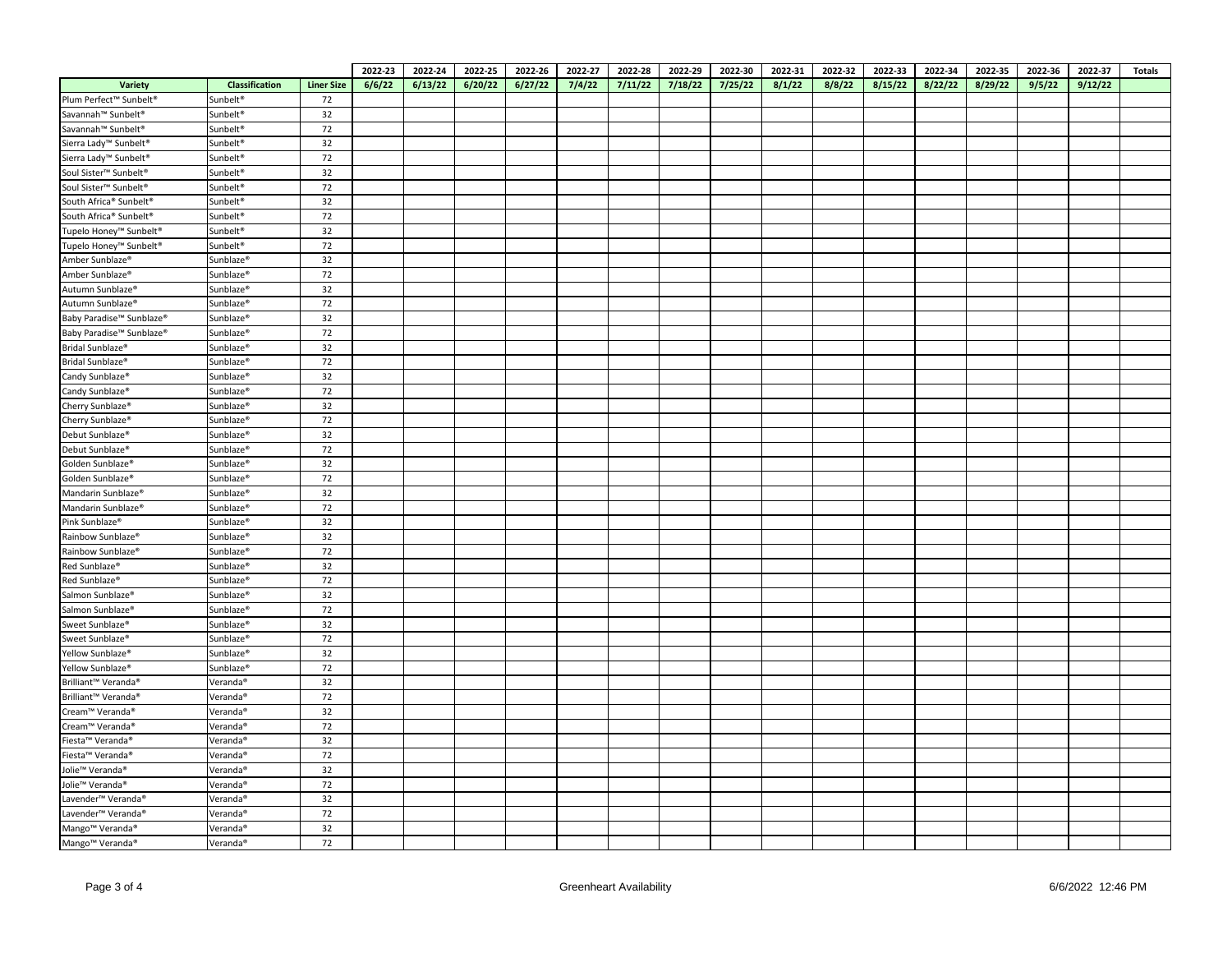|                                                                         |                                  |                   | 2022-23 | 2022-24 | 2022-25 | 2022-26 | 2022-27 | 2022-28 | 2022-29 | 2022-30 | 2022-31 | 2022-32 | 2022-33 | 2022-34 | 2022-35 | 2022-36 | 2022-37 | <b>Totals</b> |
|-------------------------------------------------------------------------|----------------------------------|-------------------|---------|---------|---------|---------|---------|---------|---------|---------|---------|---------|---------|---------|---------|---------|---------|---------------|
| Variety                                                                 | Classification                   | <b>Liner Size</b> | 6/6/22  | 6/13/22 | 6/20/22 | 6/27/22 | 7/4/22  | 7/11/22 | 7/18/22 | 7/25/22 | 8/1/22  | 8/8/22  | 8/15/22 | 8/22/22 | 8/29/22 | 9/5/22  | 9/12/22 |               |
| Plum Perfect™ Sunbelt <sup>®</sup>                                      | Sunbelt <sup>®</sup>             | 72                |         |         |         |         |         |         |         |         |         |         |         |         |         |         |         |               |
| Savannah™ Sunbelt®                                                      | Sunbelt <sup>®</sup>             | 32                |         |         |         |         |         |         |         |         |         |         |         |         |         |         |         |               |
| Savannah™ Sunbelt®                                                      | Sunbelt <sup>®</sup>             | 72                |         |         |         |         |         |         |         |         |         |         |         |         |         |         |         |               |
| Sierra Lady <sup>™</sup> Sunbelt <sup>®</sup>                           | Sunbelt <sup>®</sup>             | 32                |         |         |         |         |         |         |         |         |         |         |         |         |         |         |         |               |
| Sierra Lady <sup>™</sup> Sunbelt <sup>®</sup>                           | Sunbelt <sup>®</sup>             | 72                |         |         |         |         |         |         |         |         |         |         |         |         |         |         |         |               |
| Soul Sister <sup>™</sup> Sunbelt <sup>®</sup>                           | Sunbelt®                         | 32                |         |         |         |         |         |         |         |         |         |         |         |         |         |         |         |               |
| Soul Sister <sup>™</sup> Sunbelt®                                       | Sunbelt <sup>®</sup>             | 72                |         |         |         |         |         |         |         |         |         |         |         |         |         |         |         |               |
| South Africa® Sunbelt®                                                  | Sunbelt <sup>®</sup>             | 32                |         |         |         |         |         |         |         |         |         |         |         |         |         |         |         |               |
| South Africa® Sunbelt®                                                  | Sunbelt <sup>®</sup>             | 72                |         |         |         |         |         |         |         |         |         |         |         |         |         |         |         |               |
| Tupelo Honey™ Sunbelt <sup>®</sup>                                      | Sunbelt <sup>®</sup>             | 32                |         |         |         |         |         |         |         |         |         |         |         |         |         |         |         |               |
| Tupelo Honey <sup>™</sup> Sunbelt <sup>®</sup>                          | Sunbelt <sup>®</sup>             | 72                |         |         |         |         |         |         |         |         |         |         |         |         |         |         |         |               |
| Amber Sunblaze®                                                         | Sunblaze®                        | 32                |         |         |         |         |         |         |         |         |         |         |         |         |         |         |         |               |
| Amber Sunblaze®                                                         | Sunblaze <sup>®</sup>            | 72                |         |         |         |         |         |         |         |         |         |         |         |         |         |         |         |               |
| Autumn Sunblaze®                                                        | Sunblaze®                        | 32                |         |         |         |         |         |         |         |         |         |         |         |         |         |         |         |               |
| Autumn Sunblaze®                                                        | Sunblaze $^\circ$                | 72                |         |         |         |         |         |         |         |         |         |         |         |         |         |         |         |               |
| Baby Paradise™ Sunblaze®                                                | Sunblaze <sup>®</sup>            | 32                |         |         |         |         |         |         |         |         |         |         |         |         |         |         |         |               |
| Baby Paradise™ Sunblaze®                                                | Sunblaze <sup>®</sup>            | 72                |         |         |         |         |         |         |         |         |         |         |         |         |         |         |         |               |
| Bridal Sunblaze®                                                        | Sunblaze®                        | 32                |         |         |         |         |         |         |         |         |         |         |         |         |         |         |         |               |
| Bridal Sunblaze <sup>®</sup>                                            | Sunblaze <sup>®</sup>            | 72                |         |         |         |         |         |         |         |         |         |         |         |         |         |         |         |               |
| Candy Sunblaze®                                                         | Sunblaze <sup>®</sup>            | 32                |         |         |         |         |         |         |         |         |         |         |         |         |         |         |         |               |
| Candy Sunblaze®                                                         | Sunblaze <sup>®</sup>            | 72                |         |         |         |         |         |         |         |         |         |         |         |         |         |         |         |               |
| Cherry Sunblaze®                                                        | Sunblaze®                        | 32                |         |         |         |         |         |         |         |         |         |         |         |         |         |         |         |               |
| Cherry Sunblaze®                                                        | Sunblaze®                        | 72                |         |         |         |         |         |         |         |         |         |         |         |         |         |         |         |               |
| Debut Sunblaze <sup>®</sup>                                             | Sunblaze <sup>®</sup>            | 32                |         |         |         |         |         |         |         |         |         |         |         |         |         |         |         |               |
| Debut Sunblaze®                                                         | Sunblaze <sup>®</sup>            | 72                |         |         |         |         |         |         |         |         |         |         |         |         |         |         |         |               |
| Golden Sunblaze <sup>®</sup>                                            | Sunblaze <sup>®</sup>            | 32                |         |         |         |         |         |         |         |         |         |         |         |         |         |         |         |               |
| Golden Sunblaze®                                                        | Sunblaze®                        | 72                |         |         |         |         |         |         |         |         |         |         |         |         |         |         |         |               |
| Mandarin Sunblaze®                                                      | Sunblaze <sup>®</sup>            | 32                |         |         |         |         |         |         |         |         |         |         |         |         |         |         |         |               |
| Mandarin Sunblaze <sup>®</sup>                                          | Sunblaze <sup>®</sup>            | 72                |         |         |         |         |         |         |         |         |         |         |         |         |         |         |         |               |
| Pink Sunblaze®                                                          | Sunblaze <sup>®</sup>            | 32                |         |         |         |         |         |         |         |         |         |         |         |         |         |         |         |               |
| Rainbow Sunblaze <sup>®</sup>                                           | Sunblaze®                        | 32                |         |         |         |         |         |         |         |         |         |         |         |         |         |         |         |               |
| Rainbow Sunblaze®                                                       | Sunblaze®                        | 72                |         |         |         |         |         |         |         |         |         |         |         |         |         |         |         |               |
| Red Sunblaze®                                                           | Sunblaze®                        | 32                |         |         |         |         |         |         |         |         |         |         |         |         |         |         |         |               |
| Red Sunblaze®                                                           | Sunblaze <sup>®</sup>            | 72                |         |         |         |         |         |         |         |         |         |         |         |         |         |         |         |               |
| Salmon Sunblaze <sup>®</sup>                                            | Sunblaze <sup>®</sup>            | 32                |         |         |         |         |         |         |         |         |         |         |         |         |         |         |         |               |
| Salmon Sunblaze <sup>®</sup>                                            | Sunblaze®                        | 72                |         |         |         |         |         |         |         |         |         |         |         |         |         |         |         |               |
| Sweet Sunblaze®                                                         | Sunblaze <sup>®</sup>            | 32                |         |         |         |         |         |         |         |         |         |         |         |         |         |         |         |               |
| Sweet Sunblaze®                                                         | Sunblaze®                        | 72                |         |         |         |         |         |         |         |         |         |         |         |         |         |         |         |               |
| Yellow Sunblaze®                                                        | Sunblaze <sup>®</sup>            | 32                |         |         |         |         |         |         |         |         |         |         |         |         |         |         |         |               |
| Yellow Sunblaze®                                                        | Sunblaze®                        | 72                |         |         |         |         |         |         |         |         |         |         |         |         |         |         |         |               |
| Brilliant™ Veranda®                                                     | Veranda®                         | 32                |         |         |         |         |         |         |         |         |         |         |         |         |         |         |         |               |
| Brilliant™ Veranda <sup>®</sup>                                         | Veranda <sup>®</sup>             | 72                |         |         |         |         |         |         |         |         |         |         |         |         |         |         |         |               |
| Cream™ Veranda®                                                         | Veranda <sup>®</sup>             | 32                |         |         |         |         |         |         |         |         |         |         |         |         |         |         |         |               |
|                                                                         |                                  | 72                |         |         |         |         |         |         |         |         |         |         |         |         |         |         |         |               |
| Cream™ Veranda <sup>®</sup><br>Fiesta <sup>™</sup> Veranda <sup>®</sup> | Veranda <sup>®</sup>             |                   |         |         |         |         |         |         |         |         |         |         |         |         |         |         |         |               |
| Fiesta <sup>™</sup> Veranda <sup>®</sup>                                | Veranda <sup>®</sup><br>Veranda® | 32<br>72          |         |         |         |         |         |         |         |         |         |         |         |         |         |         |         |               |
|                                                                         |                                  | 32                |         |         |         |         |         |         |         |         |         |         |         |         |         |         |         |               |
| Jolie™ Veranda <sup>®</sup>                                             | Veranda <sup>®</sup>             | 72                |         |         |         |         |         |         |         |         |         |         |         |         |         |         |         |               |
| Jolie <sup>™</sup> Veranda <sup>®</sup>                                 | Veranda <sup>®</sup>             |                   |         |         |         |         |         |         |         |         |         |         |         |         |         |         |         |               |
| Lavender™ Veranda®                                                      | Veranda <sup>®</sup>             | 32<br>72          |         |         |         |         |         |         |         |         |         |         |         |         |         |         |         |               |
| Lavender™ Veranda <sup>®</sup>                                          | Veranda®                         |                   |         |         |         |         |         |         |         |         |         |         |         |         |         |         |         |               |
| Mango <sup>™</sup> Veranda®                                             | Veranda <sup>®</sup>             | 32                |         |         |         |         |         |         |         |         |         |         |         |         |         |         |         |               |
| Mango <sup>™</sup> Veranda <sup>®</sup>                                 | Veranda <sup>®</sup>             | 72                |         |         |         |         |         |         |         |         |         |         |         |         |         |         |         |               |